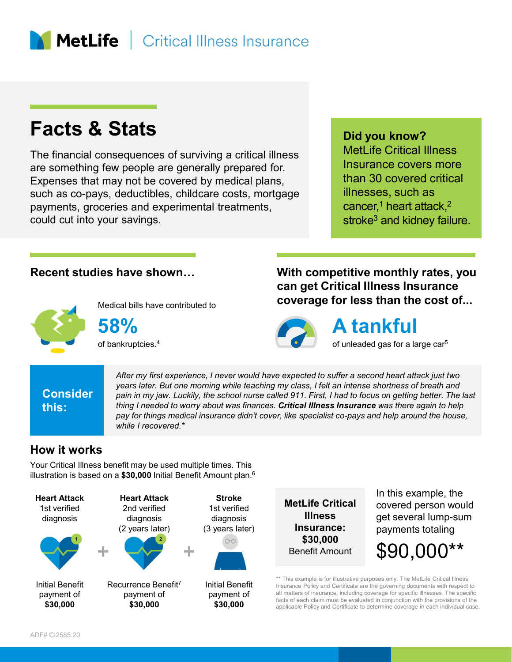## Facts & Stats

The financial consequences of surviving a critical illness are something few people are generally prepared for. Expenses that may not be covered by medical plans, such as co-pays, deductibles, childcare costs, mortgage payments, groceries and experimental treatments, could cut into your savings.

#### Did you know?

MetLife Critical Illness Insurance covers more than 30 covered critical illnesses, such as cancer,1 heart attack,2 stroke<sup>3</sup> and kidney failure.



of bankruptcies.4

### Recent studies have shown… With competitive monthly rates, you can get Critical Illness Insurance Medical bills have contributed to **Coverage for less than the cost of...**



A tankful

of unleaded gas for a large car<sup>5</sup>

# **Consider**

this: thing I needed to worry about was finances. Critical Illness Insurance was there again to help After my first experience, I never would have expected to suffer a second heart attack just two years later. But one morning while teaching my class, I felt an intense shortness of breath and pain in my jaw. Luckily, the school nurse called 911. First, I had to focus on getting better. The last deductibles, childcare costs, mortgage illnesses, such as<br>
es and experimental treatments,<br>
travings.<br>
have shown... With competitive monthly rates, you<br>
can get Critical Illness Insurance<br>
cal bills have contributed to<br>
c pay for things medical insurance didn't cover, like specialist co-pays and help around the house, while I recovered.\*

#### How it works

Your Critical Illness benefit may be used multiple times. This illustration is based on a \$30,000 Initial Benefit Amount plan.<sup>6</sup>



Stroke<br>st verified MetLife Critical covered per \$30,000 Benefit Amount diagnosis **IIINESS**<br>vears later) **Insurance:** 

In this example, the covered person would Illness of the get several lump-sum **Insurance:** payments totaling

# \$90,000

\$30,000 applicable Policy and Certificate to determine coverage in each individual case. \*\* This example is for illustrative purposes only. The MetLife Critical Illness Insurance Policy and Certificate are the governing documents with respect to all matters of insurance, including coverage for specific illnesses. The specific facts of each claim must be evaluated in conjunction with the provisions of the